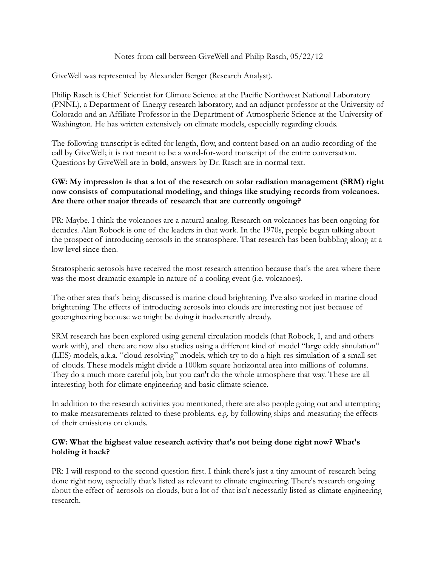### Notes from call between GiveWell and Philip Rasch, 05/22/12

GiveWell was represented by Alexander Berger (Research Analyst).

Philip Rasch is Chief Scientist for Climate Science at the Pacific Northwest National Laboratory (PNNL), a Department of Energy research laboratory, and an adjunct professor at the University of Colorado and an Affiliate Professor in the Department of Atmospheric Science at the University of Washington. He has written extensively on climate models, especially regarding clouds.

The following transcript is edited for length, flow, and content based on an audio recording of the call by GiveWell; it is not meant to be a word-for-word transcript of the entire conversation. Questions by GiveWell are in **bold**, answers by Dr. Rasch are in normal text.

## **GW: My impression is that a lot of the research on solar radiation management (SRM) right now consists of computational modeling, and things like studying records from volcanoes. Are there other major threads of research that are currently ongoing?**

PR: Maybe. I think the volcanoes are a natural analog. Research on volcanoes has been ongoing for decades. Alan Robock is one of the leaders in that work. In the 1970s, people began talking about the prospect of introducing aerosols in the stratosphere. That research has been bubbling along at a low level since then.

Stratospheric aerosols have received the most research attention because that's the area where there was the most dramatic example in nature of a cooling event (i.e. volcanoes).

The other area that's being discussed is marine cloud brightening. I've also worked in marine cloud brightening. The effects of introducing aerosols into clouds are interesting not just because of geoengineering because we might be doing it inadvertently already.

SRM research has been explored using general circulation models (that Robock, I, and and others work with), and there are now also studies using a different kind of model "large eddy simulation" (LES) models, a.k.a. "cloud resolving" models, which try to do a high-res simulation of a small set of clouds. These models might divide a 100km square horizontal area into millions of columns. They do a much more careful job, but you can't do the whole atmosphere that way. These are all interesting both for climate engineering and basic climate science.

In addition to the research activities you mentioned, there are also people going out and attempting to make measurements related to these problems, e.g. by following ships and measuring the effects of their emissions on clouds.

### **GW: What the highest value research activity that's not being done right now? What's holding it back?**

PR: I will respond to the second question first. I think there's just a tiny amount of research being done right now, especially that's listed as relevant to climate engineering. There's research ongoing about the effect of aerosols on clouds, but a lot of that isn't necessarily listed as climate engineering research.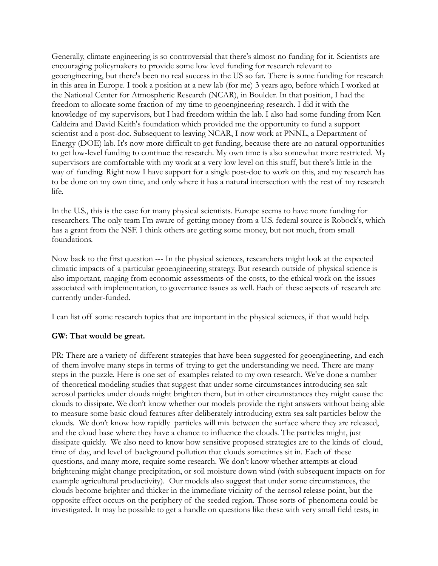Generally, climate engineering is so controversial that there's almost no funding for it. Scientists are encouraging policymakers to provide some low level funding for research relevant to geoengineering, but there's been no real success in the US so far. There is some funding for research in this area in Europe. I took a position at a new lab (for me) 3 years ago, before which I worked at the National Center for Atmospheric Research (NCAR), in Boulder. In that position, I had the freedom to allocate some fraction of my time to geoengineering research. I did it with the knowledge of my supervisors, but I had freedom within the lab. I also had some funding from Ken Caldeira and David Keith's foundation which provided me the opportunity to fund a support scientist and a post-doc. Subsequent to leaving NCAR, I now work at PNNL, a Department of Energy (DOE) lab. It's now more difficult to get funding, because there are no natural opportunities to get low-level funding to continue the research. My own time is also somewhat more restricted. My supervisors are comfortable with my work at a very low level on this stuff, but there's little in the way of funding. Right now I have support for a single post-doc to work on this, and my research has to be done on my own time, and only where it has a natural intersection with the rest of my research life.

In the U.S., this is the case for many physical scientists. Europe seems to have more funding for researchers. The only team I'm aware of getting money from a U.S. federal source is Robock's, which has a grant from the NSF. I think others are getting some money, but not much, from small foundations.

Now back to the first question --- In the physical sciences, researchers might look at the expected climatic impacts of a particular geoengineering strategy. But research outside of physical science is also important, ranging from economic assessments of the costs, to the ethical work on the issues associated with implementation, to governance issues as well. Each of these aspects of research are currently under-funded.

I can list off some research topics that are important in the physical sciences, if that would help.

### **GW: That would be great.**

PR: There are a variety of different strategies that have been suggested for geoengineering, and each of them involve many steps in terms of trying to get the understanding we need. There are many steps in the puzzle. Here is one set of examples related to my own research. We've done a number of theoretical modeling studies that suggest that under some circumstances introducing sea salt aerosol particles under clouds might brighten them, but in other circumstances they might cause the clouds to dissipate. We don't know whether our models provide the right answers without being able to measure some basic cloud features after deliberately introducing extra sea salt particles below the clouds. We don't know how rapidly particles will mix between the surface where they are released, and the cloud base where they have a chance to influence the clouds. The particles might, just dissipate quickly. We also need to know how sensitive proposed strategies are to the kinds of cloud, time of day, and level of background pollution that clouds sometimes sit in. Each of these questions, and many more, require some research. We don't know whether attempts at cloud brightening might change precipitation, or soil moisture down wind (with subsequent impacts on for example agricultural productivity). Our models also suggest that under some circumstances, the clouds become brighter and thicker in the immediate vicinity of the aerosol release point, but the opposite effect occurs on the periphery of the seeded region. Those sorts of phenomena could be investigated. It may be possible to get a handle on questions like these with very small field tests, in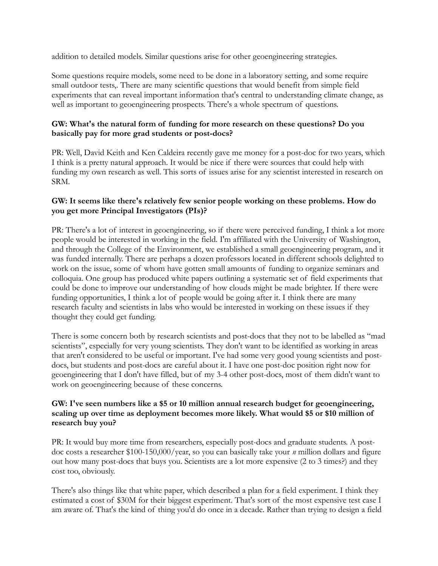addition to detailed models. Similar questions arise for other geoengineering strategies.

Some questions require models, some need to be done in a laboratory setting, and some require small outdoor tests,. There are many scientific questions that would benefit from simple field experiments that can reveal important information that's central to understanding climate change, as well as important to geoengineering prospects. There's a whole spectrum of questions.

# **GW: What's the natural form of funding for more research on these questions? Do you basically pay for more grad students or post-docs?**

PR: Well, David Keith and Ken Caldeira recently gave me money for a post-doc for two years, which I think is a pretty natural approach. It would be nice if there were sources that could help with funding my own research as well. This sorts of issues arise for any scientist interested in research on SRM.

# **GW: It seems like there's relatively few senior people working on these problems. How do you get more Principal Investigators (PIs)?**

PR: There's a lot of interest in geoengineering, so if there were perceived funding, I think a lot more people would be interested in working in the field. I'm affiliated with the University of Washington, and through the College of the Environment, we established a small geoengineering program, and it was funded internally. There are perhaps a dozen professors located in different schools delighted to work on the issue, some of whom have gotten small amounts of funding to organize seminars and colloquia. One group has produced white papers outlining a systematic set of field experiments that could be done to improve our understanding of how clouds might be made brighter. If there were funding opportunities, I think a lot of people would be going after it. I think there are many research faculty and scientists in labs who would be interested in working on these issues if they thought they could get funding.

There is some concern both by research scientists and post-docs that they not to be labelled as "mad scientists", especially for very young scientists. They don't want to be identified as working in areas that aren't considered to be useful or important. I've had some very good young scientists and postdocs, but students and post-docs are careful about it. I have one post-doc position right now for geoengineering that I don't have filled, but of my 3-4 other post-docs, most of them didn't want to work on geoengineering because of these concerns.

## **GW: I've seen numbers like a \$5 or 10 million annual research budget for geoengineering, scaling up over time as deployment becomes more likely. What would \$5 or \$10 million of research buy you?**

PR: It would buy more time from researchers, especially post-docs and graduate students. A postdoc costs a researcher \$100-150,000/year, so you can basically take your *n* million dollars and figure out how many post-docs that buys you. Scientists are a lot more expensive (2 to 3 times?) and they cost too, obviously.

There's also things like that white paper, which described a plan for a field experiment. I think they estimated a cost of \$30M for their biggest experiment. That's sort of the most expensive test case I am aware of. That's the kind of thing you'd do once in a decade. Rather than trying to design a field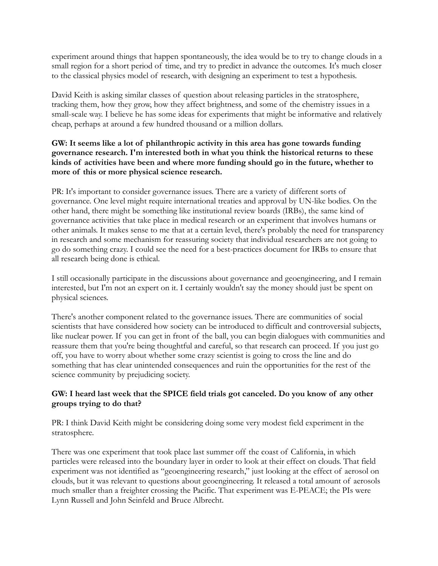experiment around things that happen spontaneously, the idea would be to try to change clouds in a small region for a short period of time, and try to predict in advance the outcomes. It's much closer to the classical physics model of research, with designing an experiment to test a hypothesis.

David Keith is asking similar classes of question about releasing particles in the stratosphere, tracking them, how they grow, how they affect brightness, and some of the chemistry issues in a small-scale way. I believe he has some ideas for experiments that might be informative and relatively cheap, perhaps at around a few hundred thousand or a million dollars.

# **GW: It seems like a lot of philanthropic activity in this area has gone towards funding governance research. I'm interested both in what you think the historical returns to these kinds of activities have been and where more funding should go in the future, whether to more of this or more physical science research.**

PR: It's important to consider governance issues. There are a variety of different sorts of governance. One level might require international treaties and approval by UN-like bodies. On the other hand, there might be something like institutional review boards (IRBs), the same kind of governance activities that take place in medical research or an experiment that involves humans or other animals. It makes sense to me that at a certain level, there's probably the need for transparency in research and some mechanism for reassuring society that individual researchers are not going to go do something crazy. I could see the need for a best-practices document for IRBs to ensure that all research being done is ethical.

I still occasionally participate in the discussions about governance and geoengineering, and I remain interested, but I'm not an expert on it. I certainly wouldn't say the money should just be spent on physical sciences.

There's another component related to the governance issues. There are communities of social scientists that have considered how society can be introduced to difficult and controversial subjects, like nuclear power. If you can get in front of the ball, you can begin dialogues with communities and reassure them that you're being thoughtful and careful, so that research can proceed. If you just go off, you have to worry about whether some crazy scientist is going to cross the line and do something that has clear unintended consequences and ruin the opportunities for the rest of the science community by prejudicing society.

# **GW: I heard last week that the SPICE field trials got canceled. Do you know of any other groups trying to do that?**

PR: I think David Keith might be considering doing some very modest field experiment in the stratosphere.

There was one experiment that took place last summer off the coast of California, in which particles were released into the boundary layer in order to look at their effect on clouds. That field experiment was not identified as "geoengineering research," just looking at the effect of aerosol on clouds, but it was relevant to questions about geoengineering. It released a total amount of aerosols much smaller than a freighter crossing the Pacific. That experiment was E-PEACE; the PIs were Lynn Russell and John Seinfeld and Bruce Albrecht.